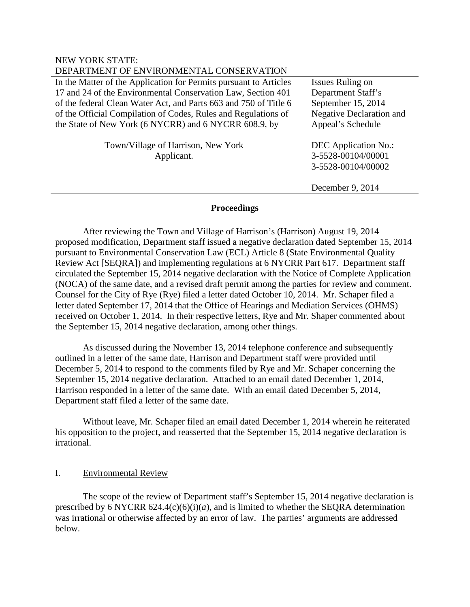| DEPARTMENT OF ENVIRONMENTAL CONSERVATION                                                                                                                                                                                                                                                                                         |                                                                                                                      |
|----------------------------------------------------------------------------------------------------------------------------------------------------------------------------------------------------------------------------------------------------------------------------------------------------------------------------------|----------------------------------------------------------------------------------------------------------------------|
| In the Matter of the Application for Permits pursuant to Articles<br>17 and 24 of the Environmental Conservation Law, Section 401<br>of the federal Clean Water Act, and Parts 663 and 750 of Title 6<br>of the Official Compilation of Codes, Rules and Regulations of<br>the State of New York (6 NYCRR) and 6 NYCRR 608.9, by | Issues Ruling on<br>Department Staff's<br>September 15, 2014<br><b>Negative Declaration and</b><br>Appeal's Schedule |
| Town/Village of Harrison, New York<br>Applicant.                                                                                                                                                                                                                                                                                 | <b>DEC</b> Application No.:<br>3-5528-00104/00001<br>3-5528-00104/00002<br>December 9, 2014                          |

### **Proceedings**

After reviewing the Town and Village of Harrison's (Harrison) August 19, 2014 proposed modification, Department staff issued a negative declaration dated September 15, 2014 pursuant to Environmental Conservation Law (ECL) Article 8 (State Environmental Quality Review Act [SEQRA]) and implementing regulations at 6 NYCRR Part 617. Department staff circulated the September 15, 2014 negative declaration with the Notice of Complete Application (NOCA) of the same date, and a revised draft permit among the parties for review and comment. Counsel for the City of Rye (Rye) filed a letter dated October 10, 2014. Mr. Schaper filed a letter dated September 17, 2014 that the Office of Hearings and Mediation Services (OHMS) received on October 1, 2014. In their respective letters, Rye and Mr. Shaper commented about the September 15, 2014 negative declaration, among other things.

As discussed during the November 13, 2014 telephone conference and subsequently outlined in a letter of the same date, Harrison and Department staff were provided until December 5, 2014 to respond to the comments filed by Rye and Mr. Schaper concerning the September 15, 2014 negative declaration. Attached to an email dated December 1, 2014, Harrison responded in a letter of the same date. With an email dated December 5, 2014, Department staff filed a letter of the same date.

Without leave, Mr. Schaper filed an email dated December 1, 2014 wherein he reiterated his opposition to the project, and reasserted that the September 15, 2014 negative declaration is irrational.

# I. Environmental Review

NEW YORK STATE:

The scope of the review of Department staff's September 15, 2014 negative declaration is prescribed by 6 NYCRR  $624.4(c)(6)(i)(a)$ , and is limited to whether the SEQRA determination was irrational or otherwise affected by an error of law. The parties' arguments are addressed below.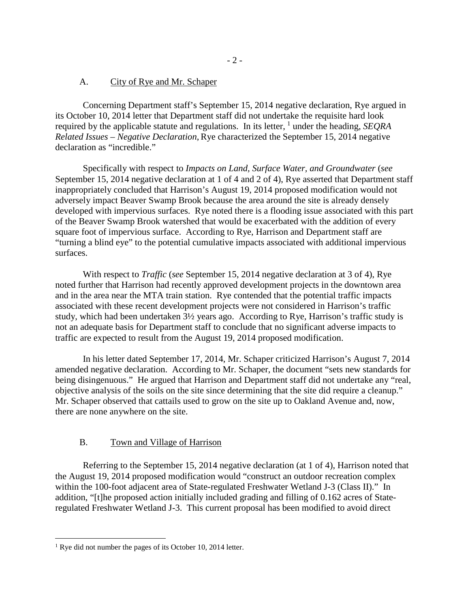### A. City of Rye and Mr. Schaper

Concerning Department staff's September 15, 2014 negative declaration, Rye argued in its October 10, 2014 letter that Department staff did not undertake the requisite hard look required by the applicable statute and regulations. In its letter, <sup>[1](#page-1-0)</sup> under the heading, *SEQRA Related Issues – Negative Declaration*, Rye characterized the September 15, 2014 negative declaration as "incredible."

Specifically with respect to *Impacts on Land, Surface Water, and Groundwater* (*see* September 15, 2014 negative declaration at 1 of 4 and 2 of 4), Rye asserted that Department staff inappropriately concluded that Harrison's August 19, 2014 proposed modification would not adversely impact Beaver Swamp Brook because the area around the site is already densely developed with impervious surfaces. Rye noted there is a flooding issue associated with this part of the Beaver Swamp Brook watershed that would be exacerbated with the addition of every square foot of impervious surface. According to Rye, Harrison and Department staff are "turning a blind eye" to the potential cumulative impacts associated with additional impervious surfaces.

With respect to *Traffic* (*see* September 15, 2014 negative declaration at 3 of 4), Rye noted further that Harrison had recently approved development projects in the downtown area and in the area near the MTA train station. Rye contended that the potential traffic impacts associated with these recent development projects were not considered in Harrison's traffic study, which had been undertaken 3½ years ago. According to Rye, Harrison's traffic study is not an adequate basis for Department staff to conclude that no significant adverse impacts to traffic are expected to result from the August 19, 2014 proposed modification.

In his letter dated September 17, 2014, Mr. Schaper criticized Harrison's August 7, 2014 amended negative declaration. According to Mr. Schaper, the document "sets new standards for being disingenuous." He argued that Harrison and Department staff did not undertake any "real, objective analysis of the soils on the site since determining that the site did require a cleanup." Mr. Schaper observed that cattails used to grow on the site up to Oakland Avenue and, now, there are none anywhere on the site.

### B. Town and Village of Harrison

Referring to the September 15, 2014 negative declaration (at 1 of 4), Harrison noted that the August 19, 2014 proposed modification would "construct an outdoor recreation complex within the 100-foot adjacent area of State-regulated Freshwater Wetland J-3 (Class II)." In addition, "[t]he proposed action initially included grading and filling of 0.162 acres of Stateregulated Freshwater Wetland J-3. This current proposal has been modified to avoid direct

 $\overline{a}$ 

<span id="page-1-0"></span><sup>&</sup>lt;sup>1</sup> Rye did not number the pages of its October 10, 2014 letter.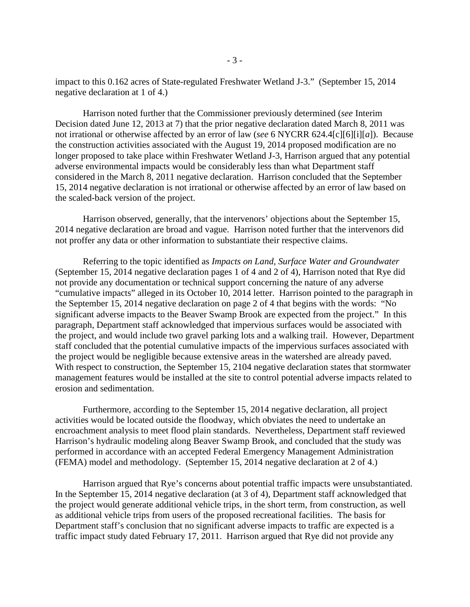impact to this 0.162 acres of State-regulated Freshwater Wetland J-3." (September 15, 2014 negative declaration at 1 of 4.)

Harrison noted further that the Commissioner previously determined (*see* Interim Decision dated June 12, 2013 at 7) that the prior negative declaration dated March 8, 2011 was not irrational or otherwise affected by an error of law (*see* 6 NYCRR 624.4[c][6][i][*a*]). Because the construction activities associated with the August 19, 2014 proposed modification are no longer proposed to take place within Freshwater Wetland J-3, Harrison argued that any potential adverse environmental impacts would be considerably less than what Department staff considered in the March 8, 2011 negative declaration. Harrison concluded that the September 15, 2014 negative declaration is not irrational or otherwise affected by an error of law based on the scaled-back version of the project.

Harrison observed, generally, that the intervenors' objections about the September 15, 2014 negative declaration are broad and vague. Harrison noted further that the intervenors did not proffer any data or other information to substantiate their respective claims.

Referring to the topic identified as *Impacts on Land, Surface Water and Groundwater* (September 15, 2014 negative declaration pages 1 of 4 and 2 of 4), Harrison noted that Rye did not provide any documentation or technical support concerning the nature of any adverse "cumulative impacts" alleged in its October 10, 2014 letter. Harrison pointed to the paragraph in the September 15, 2014 negative declaration on page 2 of 4 that begins with the words: "No significant adverse impacts to the Beaver Swamp Brook are expected from the project." In this paragraph, Department staff acknowledged that impervious surfaces would be associated with the project, and would include two gravel parking lots and a walking trail. However, Department staff concluded that the potential cumulative impacts of the impervious surfaces associated with the project would be negligible because extensive areas in the watershed are already paved. With respect to construction, the September 15, 2104 negative declaration states that stormwater management features would be installed at the site to control potential adverse impacts related to erosion and sedimentation.

Furthermore, according to the September 15, 2014 negative declaration, all project activities would be located outside the floodway, which obviates the need to undertake an encroachment analysis to meet flood plain standards. Nevertheless, Department staff reviewed Harrison's hydraulic modeling along Beaver Swamp Brook, and concluded that the study was performed in accordance with an accepted Federal Emergency Management Administration (FEMA) model and methodology. (September 15, 2014 negative declaration at 2 of 4.)

Harrison argued that Rye's concerns about potential traffic impacts were unsubstantiated. In the September 15, 2014 negative declaration (at 3 of 4), Department staff acknowledged that the project would generate additional vehicle trips, in the short term, from construction, as well as additional vehicle trips from users of the proposed recreational facilities. The basis for Department staff's conclusion that no significant adverse impacts to traffic are expected is a traffic impact study dated February 17, 2011. Harrison argued that Rye did not provide any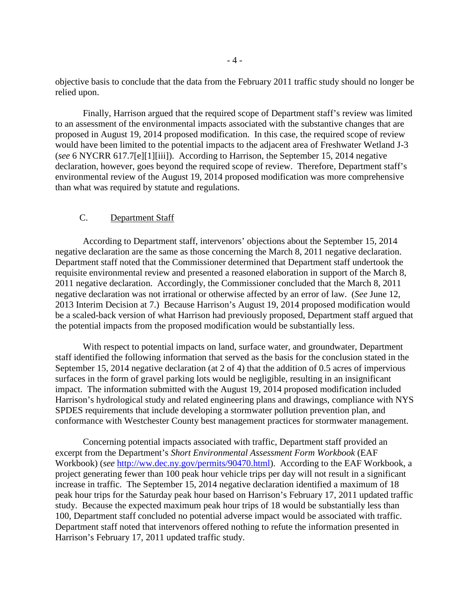objective basis to conclude that the data from the February 2011 traffic study should no longer be relied upon.

Finally, Harrison argued that the required scope of Department staff's review was limited to an assessment of the environmental impacts associated with the substantive changes that are proposed in August 19, 2014 proposed modification. In this case, the required scope of review would have been limited to the potential impacts to the adjacent area of Freshwater Wetland J-3 (*see* 6 NYCRR 617.7[e][1][iii]). According to Harrison, the September 15, 2014 negative declaration, however, goes beyond the required scope of review. Therefore, Department staff's environmental review of the August 19, 2014 proposed modification was more comprehensive than what was required by statute and regulations.

### C. Department Staff

According to Department staff, intervenors' objections about the September 15, 2014 negative declaration are the same as those concerning the March 8, 2011 negative declaration. Department staff noted that the Commissioner determined that Department staff undertook the requisite environmental review and presented a reasoned elaboration in support of the March 8, 2011 negative declaration. Accordingly, the Commissioner concluded that the March 8, 2011 negative declaration was not irrational or otherwise affected by an error of law. (*See* June 12, 2013 Interim Decision at 7.) Because Harrison's August 19, 2014 proposed modification would be a scaled-back version of what Harrison had previously proposed, Department staff argued that the potential impacts from the proposed modification would be substantially less.

With respect to potential impacts on land, surface water, and groundwater, Department staff identified the following information that served as the basis for the conclusion stated in the September 15, 2014 negative declaration (at 2 of 4) that the addition of 0.5 acres of impervious surfaces in the form of gravel parking lots would be negligible, resulting in an insignificant impact. The information submitted with the August 19, 2014 proposed modification included Harrison's hydrological study and related engineering plans and drawings, compliance with NYS SPDES requirements that include developing a stormwater pollution prevention plan, and conformance with Westchester County best management practices for stormwater management.

Concerning potential impacts associated with traffic, Department staff provided an excerpt from the Department's *Short Environmental Assessment Form Workbook* (EAF Workbook) (*see* [http://ww.dec.ny.gov/permits/90470.html\)](http://ww.dec.ny.gov/permits/90470.html). According to the EAF Workbook, a project generating fewer than 100 peak hour vehicle trips per day will not result in a significant increase in traffic. The September 15, 2014 negative declaration identified a maximum of 18 peak hour trips for the Saturday peak hour based on Harrison's February 17, 2011 updated traffic study. Because the expected maximum peak hour trips of 18 would be substantially less than 100, Department staff concluded no potential adverse impact would be associated with traffic. Department staff noted that intervenors offered nothing to refute the information presented in Harrison's February 17, 2011 updated traffic study.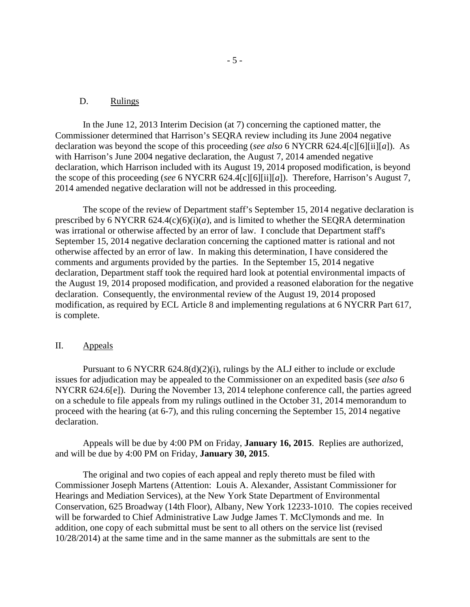### D. Rulings

In the June 12, 2013 Interim Decision (at 7) concerning the captioned matter, the Commissioner determined that Harrison's SEQRA review including its June 2004 negative declaration was beyond the scope of this proceeding (*see also* 6 NYCRR 624.4[c][6][ii][*a*]). As with Harrison's June 2004 negative declaration, the August 7, 2014 amended negative declaration, which Harrison included with its August 19, 2014 proposed modification, is beyond the scope of this proceeding (*see* 6 NYCRR 624.4[c][6][ii][*a*]). Therefore, Harrison's August 7, 2014 amended negative declaration will not be addressed in this proceeding.

The scope of the review of Department staff's September 15, 2014 negative declaration is prescribed by 6 NYCRR  $624.4(c)(6)(i)(a)$ , and is limited to whether the SEQRA determination was irrational or otherwise affected by an error of law. I conclude that Department staff's September 15, 2014 negative declaration concerning the captioned matter is rational and not otherwise affected by an error of law. In making this determination, I have considered the comments and arguments provided by the parties. In the September 15, 2014 negative declaration, Department staff took the required hard look at potential environmental impacts of the August 19, 2014 proposed modification, and provided a reasoned elaboration for the negative declaration. Consequently, the environmental review of the August 19, 2014 proposed modification, as required by ECL Article 8 and implementing regulations at 6 NYCRR Part 617, is complete.

### II. Appeals

Pursuant to 6 NYCRR 624.8(d)(2)(i), rulings by the ALJ either to include or exclude issues for adjudication may be appealed to the Commissioner on an expedited basis (*see also* 6 NYCRR 624.6[e]). During the November 13, 2014 telephone conference call, the parties agreed on a schedule to file appeals from my rulings outlined in the October 31, 2014 memorandum to proceed with the hearing (at 6-7), and this ruling concerning the September 15, 2014 negative declaration.

Appeals will be due by 4:00 PM on Friday, **January 16, 2015**. Replies are authorized, and will be due by 4:00 PM on Friday, **January 30, 2015**.

The original and two copies of each appeal and reply thereto must be filed with Commissioner Joseph Martens (Attention: Louis A. Alexander, Assistant Commissioner for Hearings and Mediation Services), at the New York State Department of Environmental Conservation, 625 Broadway (14th Floor), Albany, New York 12233-1010. The copies received will be forwarded to Chief Administrative Law Judge James T. McClymonds and me. In addition, one copy of each submittal must be sent to all others on the service list (revised 10/28/2014) at the same time and in the same manner as the submittals are sent to the